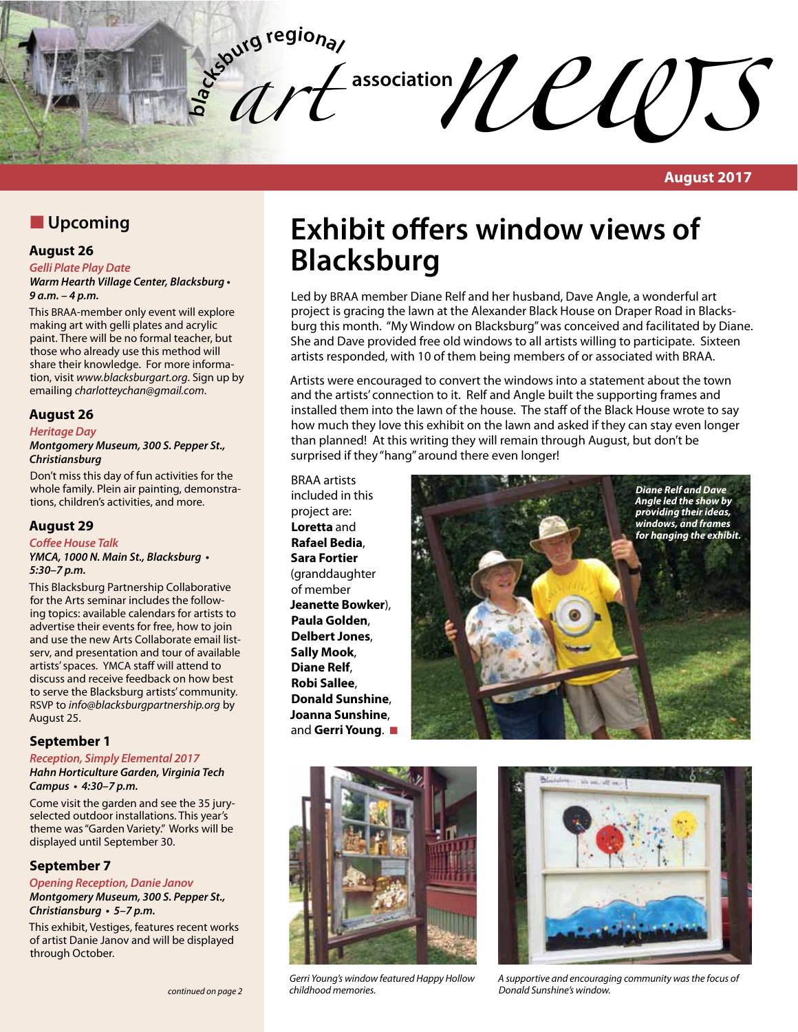

**August 2017**

# **N** Upcoming

#### **August 26**

#### *Gelli Plate Play Date*

**Warm Hearth Village Center, Blacksburg •**  *9 a.m. – 4 p.m.*

This BRAA-member only event will explore making art with gelli plates and acrylic paint. There will be no formal teacher, but those who already use this method will share their knowledge. For more information, visit *www.blacksburgart.org*. Sign up by emailing *charlotteychan@gmail.com*.

#### **August 26**

#### *Heritage Day*

*Montgomery Museum, 300 S. Pepper St., Christiansburg*

Don't miss this day of fun activities for the whole family. Plein air painting, demonstrations, children's activities, and more.

#### **August 29**

#### *Coffee House Talk*

#### **YMCA, 1000 N. Main St., Blacksburg •**  *5:30–7 p.m.*

This Blacksburg Partnership Collaborative for the Arts seminar includes the following topics: available calendars for artists to advertise their events for free, how to join and use the new Arts Collaborate email listserv, and presentation and tour of available artists' spaces. YMCA staff will attend to discuss and receive feedback on how best to serve the Blacksburg artists' community. RSVP to *info@blacksburgpartnership.org* by August 25.

#### **September 1**

#### *Reception, Simply Elemental 2017*

*Hahn Horticulture Garden, Virginia Tech*  **Campus • 4:30–7 p.m.**

Come visit the garden and see the 35 juryselected outdoor installations. This year's theme was "Garden Variety." Works will be displayed until September 30.

#### **September 7**

*Opening Reception, Danie Janov Montgomery Museum, 300 S. Pepper St.,*  **Christiansburg • 5–7 p.m.**

This exhibit, Vestiges, features recent works of artist Danie Janov and will be displayed through October.

# **Exhibit offers window views of Blacksburg**

Led by BRAA member Diane Relf and her husband, Dave Angle, a wonderful art project is gracing the lawn at the Alexander Black House on Draper Road in Blacksburg this month. "My Window on Blacksburg" was conceived and facilitated by Diane. She and Dave provided free old windows to all artists willing to participate. Sixteen artists responded, with 10 of them being members of or associated with BRAA.

Artists were encouraged to convert the windows into a statement about the town and the artists' connection to it. Relf and Angle built the supporting frames and installed them into the lawn of the house. The staff of the Black House wrote to say how much they love this exhibit on the lawn and asked if they can stay even longer than planned! At this writing they will remain through August, but don't be surprised if they "hang" around there even longer!

BRAA artists included in this project are: **Loretta** and **Rafael Bedia**, **Sara Fortier** (granddaughter of member **Jeanette Bowker**), **Paula Golden**, **Delbert Jones**, **Sally Mook**, **Diane Relf**, **Robi Sallee**, **Donald Sunshine**, **Joanna Sunshine**, and Gerri Young.  $\blacksquare$ 







*Gerri Young's window featured Happy Hollow childhood memories.*

*A supportive and encouraging community was the focus of Donald Sunshine's window.*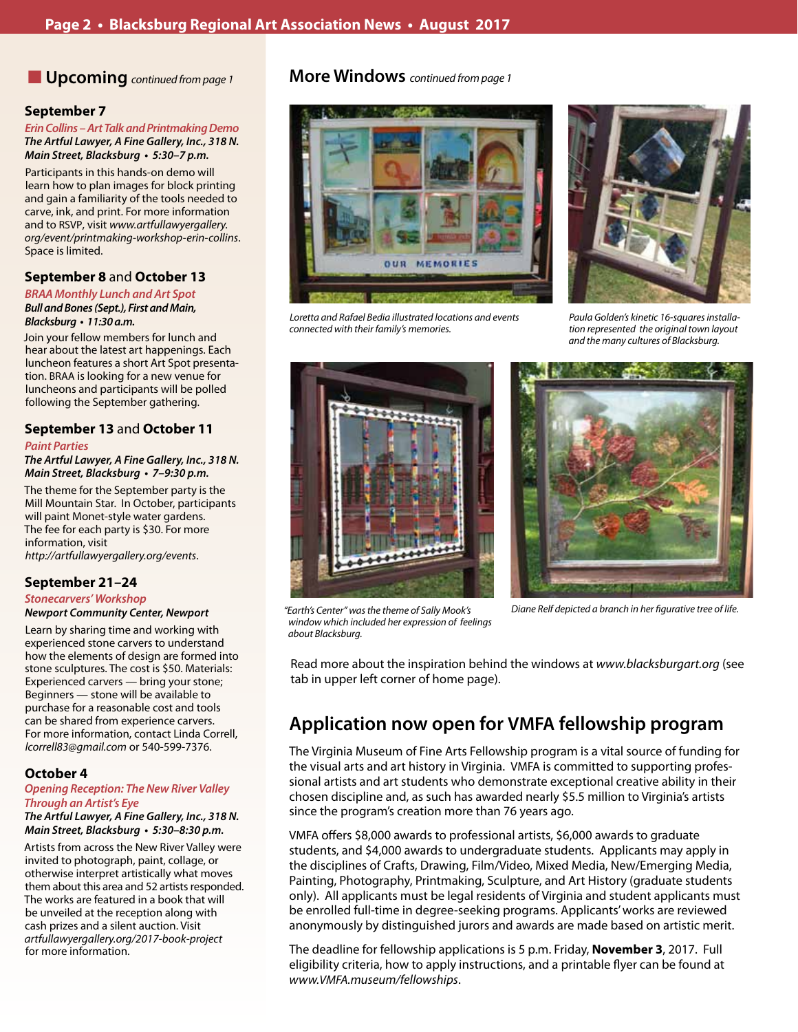#### **September 7**

*Erin Collins – Art Talk and Printmaking Demo The Artful Lawyer, A Fine Gallery, Inc., 318 N.*  **Main Street, Blacksburg • 5:30–7 p.m.**

Participants in this hands-on demo will learn how to plan images for block printing and gain a familiarity of the tools needed to carve, ink, and print. For more information and to RSVP, visit *www.artfullawyergallery. org/event/printmaking-workshop-erin-collins*. Space is limited.

#### **September 8** and **October 13**

#### *BRAA Monthly Lunch and Art Spot Bull and Bones (Sept.), First and Main,*  **Blacksburg • 11:30 a.m.**

Join your fellow members for lunch and hear about the latest art happenings. Each luncheon features a short Art Spot presentation. BRAA is looking for a new venue for luncheons and participants will be polled following the September gathering.

### **September 13** and **October 11**

*Paint Parties*

*The Artful Lawyer, A Fine Gallery, Inc., 318 N.*  **Main Street, Blacksburg • 7–9:30 p.m.**

The theme for the September party is the Mill Mountain Star. In October, participants will paint Monet-style water gardens. The fee for each party is \$30. For more information, visit *http://artfullawyergallery.org/events*.

#### **September 21–24**

#### *Stonecarvers' Workshop Newport Community Center, Newport*

Learn by sharing time and working with experienced stone carvers to understand how the elements of design are formed into stone sculptures. The cost is \$50. Materials: Experienced carvers — bring your stone; Beginners — stone will be available to purchase for a reasonable cost and tools can be shared from experience carvers. For more information, contact Linda Correll, *lcorrell83@gmail.com* or 540-599-7376.

#### **October 4**

#### *Opening Reception: The New River Valley Through an Artist's Eye*

#### *The Artful Lawyer, A Fine Gallery, Inc., 318 N.*  **Main Street, Blacksburg • 5:30–8:30 p.m.**

Artists from across the New River Valley were invited to photograph, paint, collage, or otherwise interpret artistically what moves them about this area and 52 artists responded. The works are featured in a book that will be unveiled at the reception along with cash prizes and a silent auction. Visit *artfullawyergallery.org/2017-book-project* for more information.

### n **Upcoming** *continued from page 1* **More Windows** *continued from page 1*



*Loretta and Rafael Bedia illustrated locations and events connected with their family's memories.*





*Paula Golden's kinetic 16-squares installation represented the original town layout and the many cultures of Blacksburg.*



*"Earth's Center" was the theme of Sally Mook's window which included her expression of feelings about Blacksburg.*

*Diane Relf depicted a branch in her figurative tree of life.*

Read more about the inspiration behind the windows at *www.blacksburgart.org* (see tab in upper left corner of home page).

# **Application now open for VMFA fellowship program**

The Virginia Museum of Fine Arts Fellowship program is a vital source of funding for the visual arts and art history in Virginia. VMFA is committed to supporting professional artists and art students who demonstrate exceptional creative ability in their chosen discipline and, as such has awarded nearly \$5.5 million to Virginia's artists since the program's creation more than 76 years ago.

VMFA offers \$8,000 awards to professional artists, \$6,000 awards to graduate students, and \$4,000 awards to undergraduate students. Applicants may apply in the disciplines of Crafts, Drawing, Film/Video, Mixed Media, New/Emerging Media, Painting, Photography, Printmaking, Sculpture, and Art History (graduate students only). All applicants must be legal residents of Virginia and student applicants must be enrolled full-time in degree-seeking programs. Applicants' works are reviewed anonymously by distinguished jurors and awards are made based on artistic merit.

The deadline for fellowship applications is 5 p.m. Friday, **November 3**, 2017. Full eligibility criteria, how to apply instructions, and a printable flyer can be found at *www.VMFA.museum/fellowships*.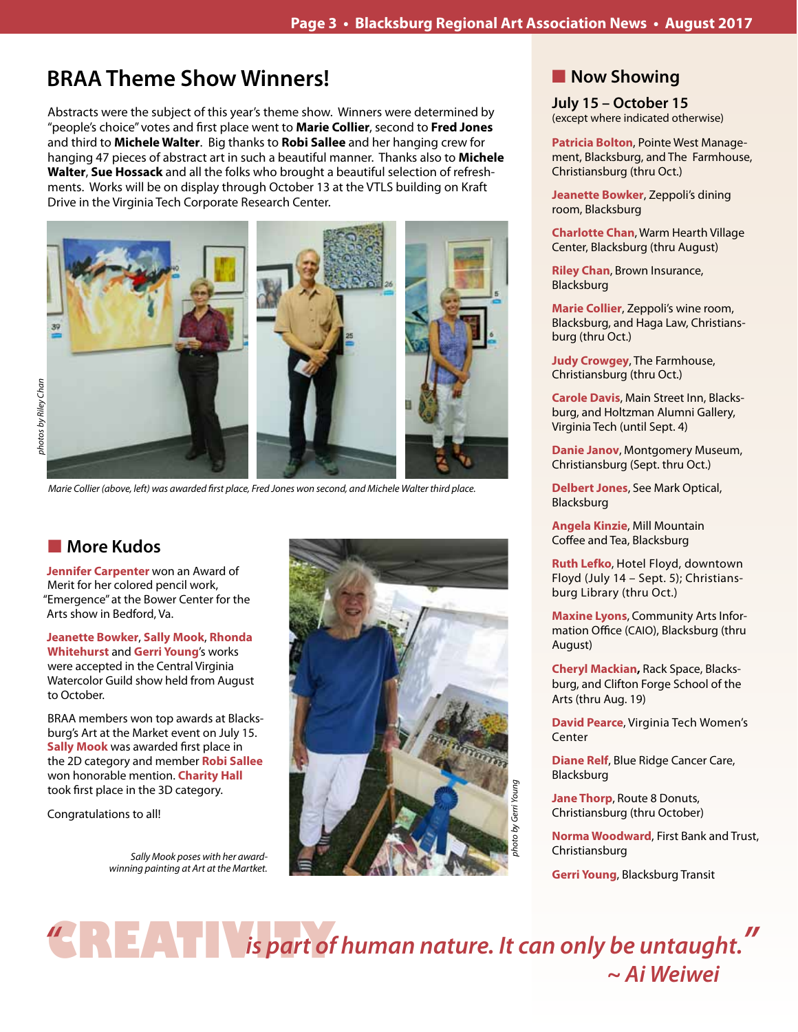# **BRAA Theme Show Winners!**

Abstracts were the subject of this year's theme show. Winners were determined by "people's choice" votes and first place went to **Marie Collier**, second to **Fred Jones** and third to **Michele Walter**. Big thanks to **Robi Sallee** and her hanging crew for hanging 47 pieces of abstract art in such a beautiful manner. Thanks also to **Michele Walter**, **Sue Hossack** and all the folks who brought a beautiful selection of refreshments. Works will be on display through October 13 at the VTLS building on Kraft Drive in the Virginia Tech Corporate Research Center.



*Marie Collier (above, left) was awarded first place, Fred Jones won second, and Michele Walter third place.*

# **Nore Kudos**

**Jennifer Carpenter** won an Award of Merit for her colored pencil work, "Emergence" at the Bower Center for the Arts show in Bedford, Va.

**Jeanette Bowker**, **Sally Mook**, **Rhonda Whitehurst** and **Gerri Young**'s works were accepted in the Central Virginia Watercolor Guild show held from August to October.

BRAA members won top awards at Blacksburg's Art at the Market event on July 15. **Sally Mook** was awarded first place in the 2D category and member **Robi Sallee** won honorable mention. **Charity Hall**  took first place in the 3D category.

Congratulations to all!

*Sally Mook poses with her awardwinning painting at Art at the Martket.*



## **Now Showing**

**July 15 – October 15** (except where indicated otherwise)

**Patricia Bolton**, Pointe West Management, Blacksburg, and The Farmhouse, Christiansburg (thru Oct.)

**Jeanette Bowker**, Zeppoli's dining room, Blacksburg

**Charlotte Chan**, Warm Hearth Village Center, Blacksburg (thru August)

**Riley Chan**, Brown Insurance, Blacksburg

**Marie Collier**, Zeppoli's wine room, Blacksburg, and Haga Law, Christiansburg (thru Oct.)

**Judy Crowgey**, The Farmhouse, Christiansburg (thru Oct.)

**Carole Davis**, Main Street Inn, Blacksburg, and Holtzman Alumni Gallery, Virginia Tech (until Sept. 4)

**Danie Janov**, Montgomery Museum, Christiansburg (Sept. thru Oct.)

**Delbert Jones**, See Mark Optical, Blacksburg

**Angela Kinzie**, Mill Mountain Coffee and Tea, Blacksburg

**Ruth Lefko**, Hotel Floyd, downtown Floyd (July 14 – Sept. 5); Christiansburg Library (thru Oct.)

**Maxine Lyons**, Community Arts Information Office (CAIO), Blacksburg (thru August)

**Cheryl Mackian,** Rack Space, Blacksburg, and Clifton Forge School of the Arts (thru Aug. 19)

**David Pearce**, Virginia Tech Women's Center

**Diane Relf**, Blue Ridge Cancer Care, Blacksburg

**Jane Thorp**, Route 8 Donuts, Christiansburg (thru October)

**Norma Woodward**, First Bank and Trust, Christiansburg

**Gerri Young**, Blacksburg Transit

**CREATIVITY** *" is part of human nature. It can only be untaught." ~ Ai Weiwei*